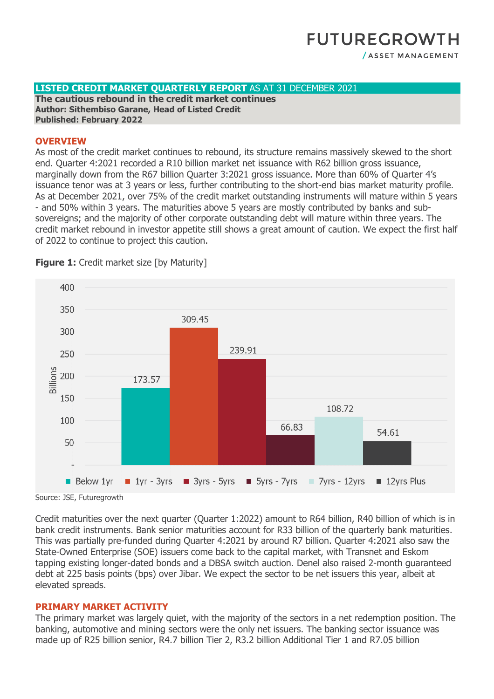### **LISTED CREDIT MARKET QUARTERLY REPORT** AS AT 31 DECEMBER 2021

**The cautious rebound in the credit market continues Author: Sithembiso Garane, Head of Listed Credit Published: February 2022**

#### **OVERVIEW**

As most of the credit market continues to rebound, its structure remains massively skewed to the short end. Quarter 4:2021 recorded a R10 billion market net issuance with R62 billion gross issuance, marginally down from the R67 billion Quarter 3:2021 gross issuance. More than 60% of Quarter 4's issuance tenor was at 3 years or less, further contributing to the short-end bias market maturity profile. As at December 2021, over 75% of the credit market outstanding instruments will mature within 5 years - and 50% within 3 years. The maturities above 5 years are mostly contributed by banks and subsovereigns; and the majority of other corporate outstanding debt will mature within three years. The credit market rebound in investor appetite still shows a great amount of caution. We expect the first half of 2022 to continue to project this caution.



**Figure 1:** Credit market size [by Maturity]

Source: JSE, Futuregrowth

Credit maturities over the next quarter (Quarter 1:2022) amount to R64 billion, R40 billion of which is in bank credit instruments. Bank senior maturities account for R33 billion of the quarterly bank maturities. This was partially pre-funded during Quarter 4:2021 by around R7 billion. Quarter 4:2021 also saw the State-Owned Enterprise (SOE) issuers come back to the capital market, with Transnet and Eskom tapping existing longer-dated bonds and a DBSA switch auction. Denel also raised 2-month guaranteed debt at 225 basis points (bps) over Jibar. We expect the sector to be net issuers this year, albeit at elevated spreads.

### **PRIMARY MARKET ACTIVITY**

The primary market was largely quiet, with the majority of the sectors in a net redemption position. The banking, automotive and mining sectors were the only net issuers. The banking sector issuance was made up of R25 billion senior, R4.7 billion Tier 2, R3.2 billion Additional Tier 1 and R7.05 billion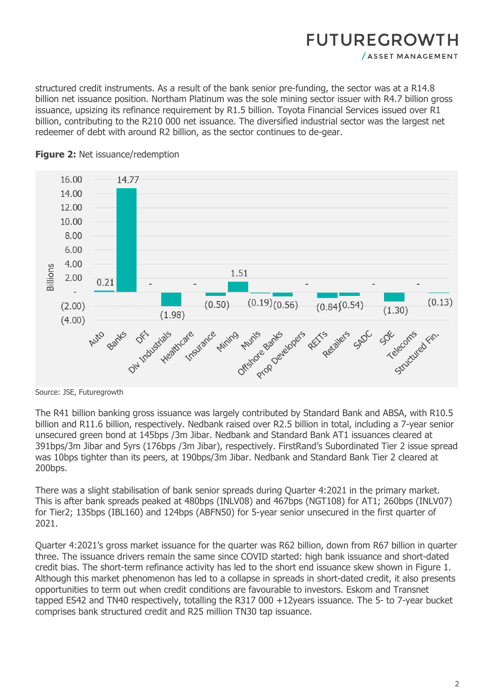structured credit instruments. As a result of the bank senior pre-funding, the sector was at a R14.8 billion net issuance position. Northam Platinum was the sole mining sector issuer with R4.7 billion gross issuance, upsizing its refinance requirement by R1.5 billion. Toyota Financial Services issued over R1 billion, contributing to the R210 000 net issuance. The diversified industrial sector was the largest net redeemer of debt with around R2 billion, as the sector continues to de-gear.



**Figure 2: Net issuance/redemption** 

The R41 billion banking gross issuance was largely contributed by Standard Bank and ABSA, with R10.5 billion and R11.6 billion, respectively. Nedbank raised over R2.5 billion in total, including a 7-year senior unsecured green bond at 145bps /3m Jibar. Nedbank and Standard Bank AT1 issuances cleared at 391bps/3m Jibar and 5yrs (176bps /3m Jibar), respectively. FirstRand's Subordinated Tier 2 issue spread was 10bps tighter than its peers, at 190bps/3m Jibar. Nedbank and Standard Bank Tier 2 cleared at 200bps.

There was a slight stabilisation of bank senior spreads during Quarter 4:2021 in the primary market. This is after bank spreads peaked at 480bps (INLV08) and 467bps (NGT108) for AT1; 260bps (INLV07) for Tier2; 135bps (IBL160) and 124bps (ABFN50) for 5-year senior unsecured in the first quarter of 2021.

Quarter 4:2021's gross market issuance for the quarter was R62 billion, down from R67 billion in quarter three. The issuance drivers remain the same since COVID started: high bank issuance and short-dated credit bias. The short-term refinance activity has led to the short end issuance skew shown in Figure 1. Although this market phenomenon has led to a collapse in spreads in short-dated credit, it also presents opportunities to term out when credit conditions are favourable to investors. Eskom and Transnet tapped ES42 and TN40 respectively, totalling the R317 000 +12years issuance. The 5- to 7-year bucket comprises bank structured credit and R25 million TN30 tap issuance.

Source: JSE, Futuregrowth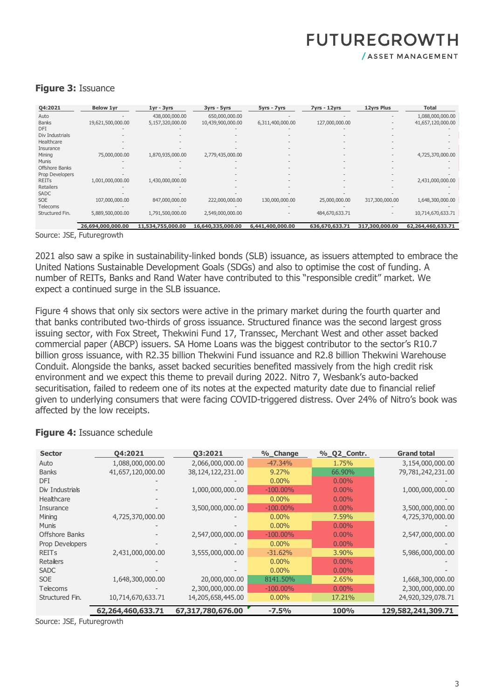# **FUTUREGROWTH**

/ ASSET MANAGEMENT

| Q4:2021         | <b>Below 1yr</b>  | $1yr - 3yrs$      | 3yrs - 5yrs       | 5yrs - 7yrs      | $7yrs - 12yrs$ | <b>12yrs Plus</b> | <b>Total</b>      |
|-----------------|-------------------|-------------------|-------------------|------------------|----------------|-------------------|-------------------|
| Auto            |                   | 438,000,000.00    | 650,000,000.00    |                  |                |                   | 1,088,000,000.00  |
| <b>Banks</b>    | 19,621,500,000.00 | 5,157,320,000.00  | 10,439,900,000.00 | 6,311,400,000.00 | 127,000,000.00 |                   | 41,657,120,000.00 |
| DFI             |                   |                   |                   |                  |                |                   |                   |
| Div Industrials |                   |                   |                   |                  |                |                   |                   |
| Healthcare      |                   |                   |                   |                  |                |                   |                   |
| Insurance       |                   |                   |                   |                  |                |                   |                   |
| Mining          | 75,000,000.00     | 1,870,935,000.00  | 2,779,435,000.00  |                  | $\equiv$       |                   | 4,725,370,000.00  |
| <b>Munis</b>    |                   |                   |                   |                  |                |                   |                   |
| Offshore Banks  |                   |                   |                   |                  |                |                   |                   |
| Prop Developers |                   |                   |                   |                  |                |                   |                   |
| <b>REITS</b>    | 1,001,000,000.00  | 1,430,000,000.00  |                   |                  |                |                   | 2,431,000,000.00  |
| Retailers       |                   |                   |                   |                  |                |                   |                   |
| <b>SADC</b>     |                   |                   |                   |                  |                |                   |                   |
| <b>SOE</b>      | 107,000,000.00    | 847,000,000.00    | 222,000,000.00    | 130,000,000.00   | 25,000,000.00  | 317,300,000.00    | 1,648,300,000.00  |
| <b>Telecoms</b> |                   |                   |                   |                  |                |                   |                   |
| Structured Fin. | 5,889,500,000.00  | 1,791,500,000.00  | 2,549,000,000.00  |                  | 484,670,633.71 |                   | 10,714,670,633.71 |
|                 |                   |                   |                   |                  |                |                   |                   |
|                 | 26,694,000,000.00 | 11,534,755,000.00 | 16,640,335,000.00 | 6,441,400,000.00 | 636,670,633.71 | 317,300,000.00    | 62,264,460,633.71 |

## **Figure 3:** Issuance

Source: JSE, Futuregrowth

2021 also saw a spike in sustainability-linked bonds (SLB) issuance, as issuers attempted to embrace the United Nations Sustainable Development Goals (SDGs) and also to optimise the cost of funding. A number of REITs, Banks and Rand Water have contributed to this "responsible credit" market. We expect a continued surge in the SLB issuance.

Figure 4 shows that only six sectors were active in the primary market during the fourth quarter and that banks contributed two-thirds of gross issuance. Structured finance was the second largest gross issuing sector, with Fox Street, Thekwini Fund 17, Transsec, Merchant West and other asset backed commercial paper (ABCP) issuers. SA Home Loans was the biggest contributor to the sector's R10.7 billion gross issuance, with R2.35 billion Thekwini Fund issuance and R2.8 billion Thekwini Warehouse Conduit. Alongside the banks, asset backed securities benefited massively from the high credit risk environment and we expect this theme to prevail during 2022. Nitro 7, Wesbank's auto-backed securitisation, failed to redeem one of its notes at the expected maturity date due to financial relief given to underlying consumers that were facing COVID-triggered distress. Over 24% of Nitro's book was affected by the low receipts.

| <b>Sector</b>         | 04:2021           | 03:2021           | %_Change    | % Q2 Contr. | <b>Grand total</b> |
|-----------------------|-------------------|-------------------|-------------|-------------|--------------------|
| Auto                  | 1,088,000,000.00  | 2,066,000,000.00  | $-47.34%$   | 1.75%       | 3,154,000,000.00   |
| <b>Banks</b>          | 41,657,120,000.00 | 38,124,122,231.00 | 9.27%       | 66.90%      | 79,781,242,231.00  |
| <b>DFI</b>            |                   |                   | $0.00\%$    | $0.00\%$    |                    |
| Div Industrials       |                   | 1,000,000,000.00  | $-100.00\%$ | $0.00\%$    | 1,000,000,000.00   |
| Healthcare            |                   |                   | $0.00\%$    | $0.00\%$    |                    |
| Insurance             |                   | 3,500,000,000.00  | $-100.00\%$ | $0.00\%$    | 3,500,000,000.00   |
| Mining                | 4,725,370,000.00  |                   | $0.00\%$    | $7.59\%$    | 4,725,370,000.00   |
| <b>Munis</b>          |                   |                   | $0.00\%$    | $0.00\%$    |                    |
| <b>Offshore Banks</b> |                   | 2,547,000,000.00  | $-100.00\%$ | $0.00\%$    | 2,547,000,000.00   |
| Prop Developers       |                   |                   | $0.00\%$    | $0.00\%$    |                    |
| <b>REITS</b>          | 2,431,000,000.00  | 3,555,000,000.00  | $-31.62%$   | 3.90%       | 5,986,000,000.00   |
| Retailers             |                   |                   | $0.00\%$    | $0.00\%$    |                    |
| <b>SADC</b>           |                   |                   | $0.00\%$    | $0.00\%$    |                    |
| <b>SOE</b>            | 1,648,300,000.00  | 20,000,000.00     | 8141.50%    | 2.65%       | 1,668,300,000.00   |
| <b>Telecoms</b>       |                   | 2,300,000,000.00  | $-100.00\%$ | $0.00\%$    | 2,300,000,000.00   |
| Structured Fin.       | 10,714,670,633.71 | 14,205,658,445.00 | $0.00\%$    | 17.21%      | 24,920,329,078.71  |
|                       | 62,264,460,633.71 | 67,317,780,676.00 | $-7.5%$     | 100%        | 129,582,241,309.71 |

### **Figure 4:** Issuance schedule

Source: JSE, Futuregrowth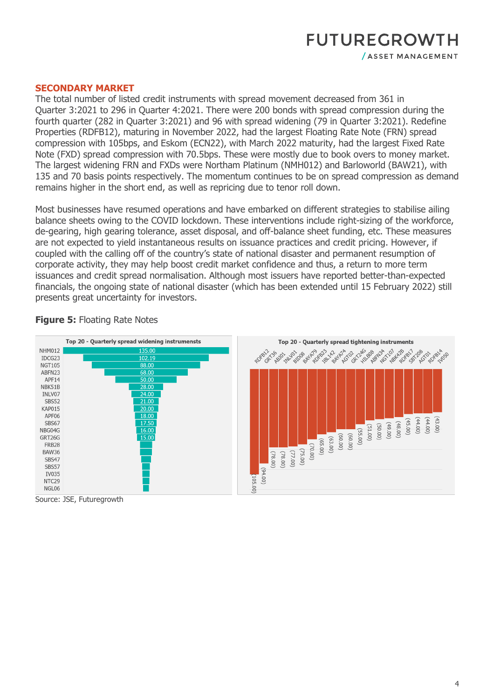## **SECONDARY MARKET**

The total number of listed credit instruments with spread movement decreased from 361 in Quarter 3:2021 to 296 in Quarter 4:2021. There were 200 bonds with spread compression during the fourth quarter (282 in Quarter 3:2021) and 96 with spread widening (79 in Quarter 3:2021). Redefine Properties (RDFB12), maturing in November 2022, had the largest Floating Rate Note (FRN) spread compression with 105bps, and Eskom (ECN22), with March 2022 maturity, had the largest Fixed Rate Note (FXD) spread compression with 70.5bps. These were mostly due to book overs to money market. The largest widening FRN and FXDs were Northam Platinum (NMH012) and Barloworld (BAW21), with 135 and 70 basis points respectively. The momentum continues to be on spread compression as demand remains higher in the short end, as well as repricing due to tenor roll down.

Most businesses have resumed operations and have embarked on different strategies to stabilise ailing balance sheets owing to the COVID lockdown. These interventions include right-sizing of the workforce, de-gearing, high gearing tolerance, asset disposal, and off-balance sheet funding, etc. These measures are not expected to yield instantaneous results on issuance practices and credit pricing. However, if coupled with the calling off of the country's state of national disaster and permanent resumption of corporate activity, they may help boost credit market confidence and thus, a return to more term issuances and credit spread normalisation. Although most issuers have reported better-than-expected financials, the ongoing state of national disaster (which has been extended until 15 February 2022) still presents great uncertainty for investors.



### **Figure 5: Floating Rate Notes**

Source: JSE, Futuregrowth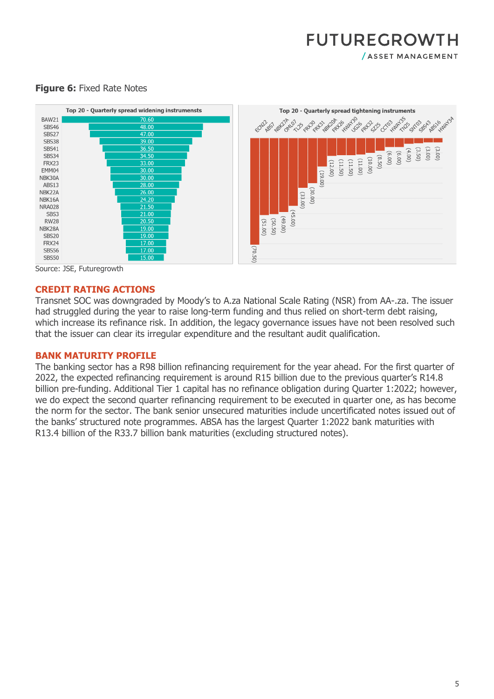

## **Figure 6: Fixed Rate Notes**



Source: JSE, Futuregrowth

#### **CREDIT RATING ACTIONS**

Transnet SOC was downgraded by Moody's to A.za National Scale Rating (NSR) from AA-.za. The issuer had struggled during the year to raise long-term funding and thus relied on short-term debt raising, which increase its refinance risk. In addition, the legacy governance issues have not been resolved such that the issuer can clear its irregular expenditure and the resultant audit qualification.

#### **BANK MATURITY PROFILE**

The banking sector has a R98 billion refinancing requirement for the year ahead. For the first quarter of 2022, the expected refinancing requirement is around R15 billion due to the previous quarter's R14.8 billion pre-funding. Additional Tier 1 capital has no refinance obligation during Quarter 1:2022; however, we do expect the second quarter refinancing requirement to be executed in quarter one, as has become the norm for the sector. The bank senior unsecured maturities include uncertificated notes issued out of the banks' structured note programmes. ABSA has the largest Quarter 1:2022 bank maturities with R13.4 billion of the R33.7 billion bank maturities (excluding structured notes).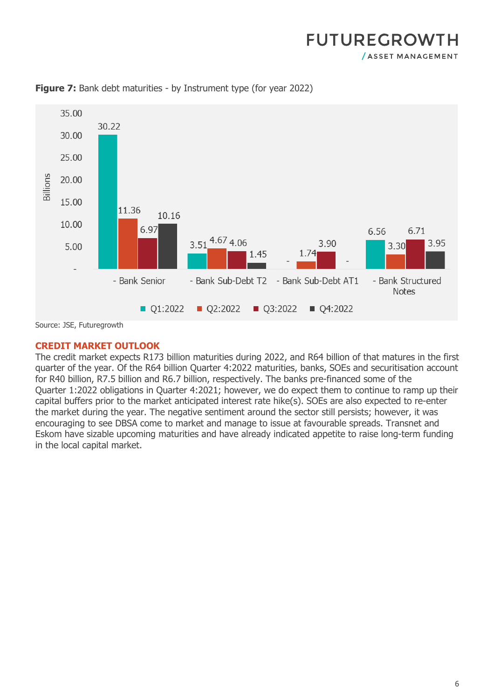

**Figure 7:** Bank debt maturities - by Instrument type (for year 2022)

Source: JSE, Futuregrowth

# **CREDIT MARKET OUTLOOK**

The credit market expects R173 billion maturities during 2022, and R64 billion of that matures in the first quarter of the year. Of the R64 billion Quarter 4:2022 maturities, banks, SOEs and securitisation account for R40 billion, R7.5 billion and R6.7 billion, respectively. The banks pre-financed some of the Quarter 1:2022 obligations in Quarter 4:2021; however, we do expect them to continue to ramp up their capital buffers prior to the market anticipated interest rate hike(s). SOEs are also expected to re-enter the market during the year. The negative sentiment around the sector still persists; however, it was encouraging to see DBSA come to market and manage to issue at favourable spreads. Transnet and Eskom have sizable upcoming maturities and have already indicated appetite to raise long-term funding in the local capital market.